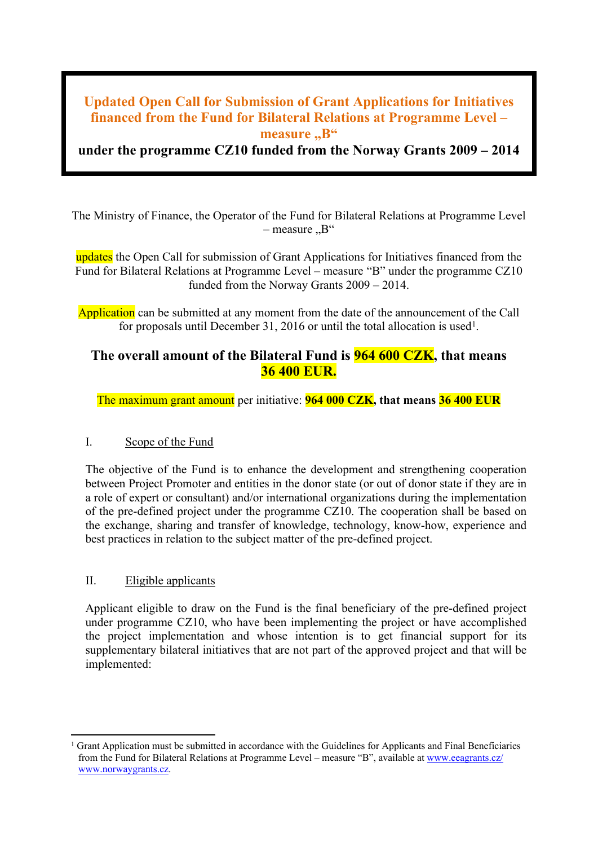# **Updated Open Call for Submission of Grant Applications for Initiatives financed from the Fund for Bilateral Relations at Programme Level – measure** ..B"

**under the programme CZ10 funded from the Norway Grants 2009 – 2014**

The Ministry of Finance, the Operator of the Fund for Bilateral Relations at Programme Level  $-$  measure  $B^{\prime\prime}$ 

updates the Open Call for submission of Grant Applications for Initiatives financed from the Fund for Bilateral Relations at Programme Level – measure "B" under the programme CZ10 funded from the Norway Grants 2009 – 2014.

Application can be submitted at any moment from the date of the announcement of the Call for proposals until December 31, 2016 or until the total allocation is used<sup>1</sup>.

# **The overall amount of the Bilateral Fund is 964 600 CZK, that means 36 400 EUR.**

The maximum grant amount per initiative: **964 000 CZK, that means 36 400 EUR**

# I. Scope of the Fund

The objective of the Fund is to enhance the development and strengthening cooperation between Project Promoter and entities in the donor state (or out of donor state if they are in a role of expert or consultant) and/or international organizations during the implementation of the pre-defined project under the programme CZ10. The cooperation shall be based on the exchange, sharing and transfer of knowledge, technology, know-how, experience and best practices in relation to the subject matter of the pre-defined project.

# II. Eligible applicants

Applicant eligible to draw on the Fund is the final beneficiary of the pre-defined project under programme CZ10, who have been implementing the project or have accomplished the project implementation and whose intention is to get financial support for its supplementary bilateral initiatives that are not part of the approved project and that will be implemented:

 $1$  Grant Application must be submitted in accordance with the Guidelines for Applicants and Final Beneficiaries from the Fund for Bilateral Relations at Programme Level – measure "B", available at [www.eeagrants.cz/](http://www.eeagrants.cz/) www.norwaygrants.cz.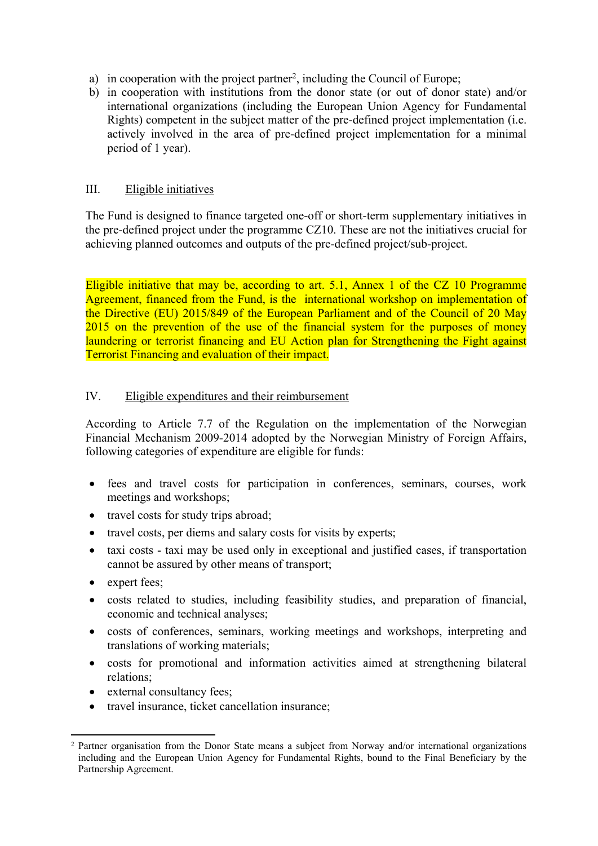- a) in cooperation with the project partner<sup>2</sup>, including the Council of Europe;
- b) in cooperation with institutions from the donor state (or out of donor state) and/or international organizations (including the European Union Agency for Fundamental Rights) competent in the subject matter of the pre-defined project implementation (i.e. actively involved in the area of pre-defined project implementation for a minimal period of 1 year).

#### III. Eligible initiatives

The Fund is designed to finance targeted one-off or short-term supplementary initiatives in the pre-defined project under the programme CZ10. These are not the initiatives crucial for achieving planned outcomes and outputs of the pre-defined project/sub-project.

Eligible initiative that may be, according to art. 5.1, Annex 1 of the CZ 10 Programme Agreement, financed from the Fund, is the international workshop on implementation of the Directive (EU) 2015/849 of the European Parliament and of the Council of 20 May 2015 on the prevention of the use of the financial system for the purposes of money laundering or terrorist financing and EU Action plan for Strengthening the Fight against Terrorist Financing and evaluation of their impact.

#### IV. Eligible expenditures and their reimbursement

According to Article 7.7 of the Regulation on the implementation of the Norwegian Financial Mechanism 2009-2014 adopted by the Norwegian Ministry of Foreign Affairs, following categories of expenditure are eligible for funds:

- fees and travel costs for participation in conferences, seminars, courses, work meetings and workshops;
- travel costs for study trips abroad;
- travel costs, per diems and salary costs for visits by experts;
- taxi costs taxi may be used only in exceptional and justified cases, if transportation cannot be assured by other means of transport;
- expert fees;
- costs related to studies, including feasibility studies, and preparation of financial, economic and technical analyses;
- costs of conferences, seminars, working meetings and workshops, interpreting and translations of working materials;
- costs for promotional and information activities aimed at strengthening bilateral relations;
- external consultancy fees:
- travel insurance, ticket cancellation insurance;

<sup>2</sup> Partner organisation from the Donor State means a subject from Norway and/or international organizations including and the European Union Agency for Fundamental Rights, bound to the Final Beneficiary by the Partnership Agreement.